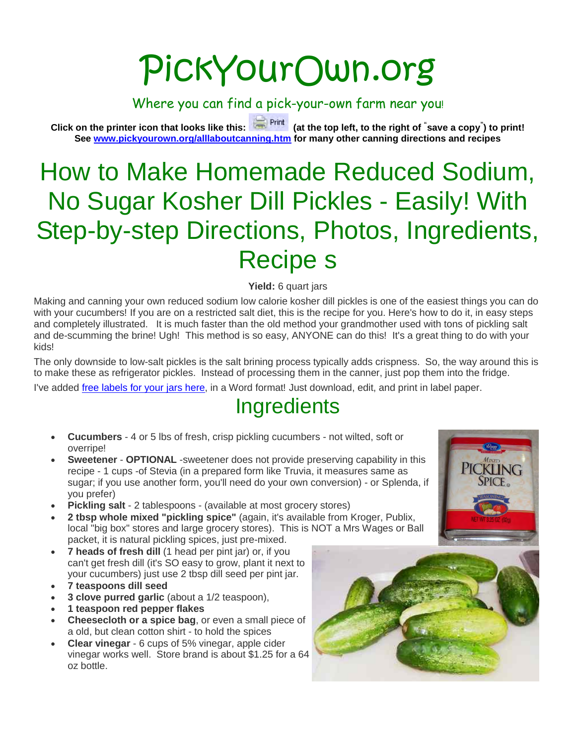# PickYourOwn.org

Where you can find a pick-your-own farm near you!

**Click on the printer icon that looks like this: (at the top left, to the right of " save a copy" ) to print! See [www.pickyourown.org/alllaboutcanning.htm](http://www.pickyourown.org/alllaboutcanning.htm) for many other canning directions and recipes**

## How to Make Homemade Reduced Sodium, No Sugar Kosher Dill Pickles - Easily! With Step-by-step Directions, Photos, Ingredients, Recipe s

**Yield:** 6 quart jars

Making and canning your own reduced sodium low calorie kosher dill pickles is one of the easiest things you can do with your cucumbers! If you are on a restricted salt diet, this is the recipe for you. Here's how to do it, in easy steps and completely illustrated. It is much faster than the old method your grandmother used with tons of pickling salt and de-scumming the brine! Ugh! This method is so easy, ANYONE can do this! It's a great thing to do with your kids!

The only downside to low-salt pickles is the salt brining process typically adds crispness. So, the way around this is to make these as refrigerator pickles. Instead of processing them in the canner, just pop them into the fridge.

I've added [free labels for your jars here,](https://pickyourown.org/labels/labels%20for%20pickles,%20Avery%205162%20for%20Word,%20large.doc) in a Word format! Just download, edit, and print in label paper.

## **Ingredients**

- **Cucumbers** 4 or 5 lbs of fresh, crisp pickling cucumbers not wilted, soft or overripe!
- **Sweetener OPTIONAL** -sweetener does not provide preserving capability in this recipe - 1 cups -of Stevia (in a prepared form like Truvia, it measures same as sugar; if you use another form, you'll need do your own conversion) - or Splenda, if you prefer)
- **Pickling salt** 2 tablespoons (available at most grocery stores)
- **2 tbsp whole mixed "pickling spice"** (again, it's available from Kroger, Publix, local "big box" stores and large grocery stores). This is NOT a Mrs Wages or Ball packet, it is natural pickling spices, just pre-mixed.
- **7 heads of fresh dill** (1 head per pint jar) or, if you can't get fresh dill (it's SO easy to grow, plant it next to your cucumbers) just use 2 tbsp dill seed per pint jar.
- **7 teaspoons dill seed**
- **3 clove purred garlic** (about a 1/2 teaspoon),
- **1 teaspoon red pepper flakes**
- **Cheesecloth or a spice bag**, or even a small piece of a old, but clean cotton shirt - to hold the spices
- **Clear vinegar** 6 cups of 5% vinegar, apple cider vinegar works well. Store brand is about \$1.25 for a 64 oz bottle.

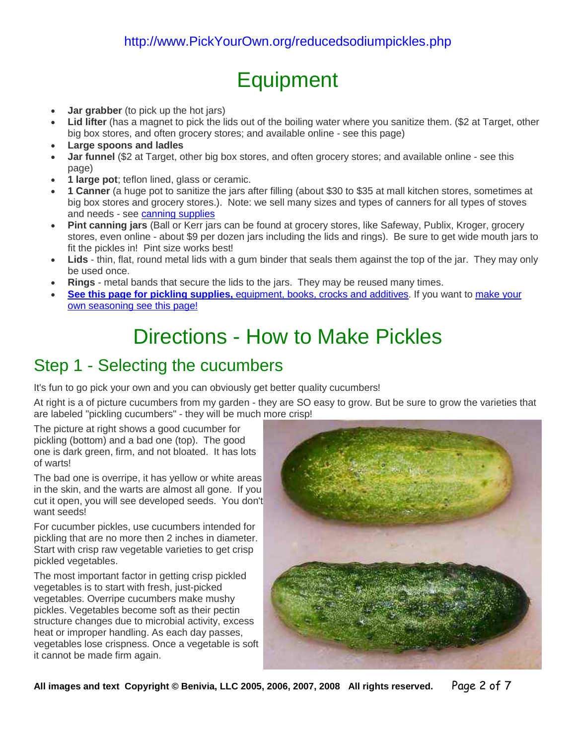## **Equipment**

- **Jar grabber** (to pick up the hot jars)
- **Lid lifter** (has a magnet to pick the lids out of the boiling water where you sanitize them. (\$2 at Target, other big box stores, and often grocery stores; and available online - see this page)
- **Large spoons and ladles**
- **Jar funnel** (\$2 at Target, other big box stores, and often grocery stores; and available online see this page)
- **1 large pot**; teflon lined, glass or ceramic.
- **1 Canner** (a huge pot to sanitize the jars after filling (about \$30 to \$35 at mall kitchen stores, sometimes at big box stores and grocery stores.). Note: we sell many sizes and types of canners for all types of stoves and needs - see [canning supplies](https://pickyourown.org/canningsupplies.htm)
- **Pint canning jars** (Ball or Kerr jars can be found at grocery stores, like Safeway, Publix, Kroger, grocery stores, even online - about \$9 per dozen jars including the lids and rings). Be sure to get wide mouth jars to fit the pickles in! Pint size works best!
- **Lids** thin, flat, round metal lids with a gum binder that seals them against the top of the jar. They may only be used once.
- **Rings** metal bands that secure the lids to the jars. They may be reused many times.
- **See this page for pickling supplies,** [equipment, books, crocks and additives.](https://pickyourown.org/canningsuppliespickling.htm) If you want to [make your](https://pickyourown.org/makingpicklesnaturally.htm)  [own seasoning see this page!](https://pickyourown.org/makingpicklesnaturally.htm)

### Directions - How to Make Pickles

#### Step 1 - Selecting the cucumbers

It's fun to go pick your own and you can obviously get better quality cucumbers!

At right is a of picture cucumbers from my garden - they are SO easy to grow. But be sure to grow the varieties that are labeled "pickling cucumbers" - they will be much more crisp!

The picture at right shows a good cucumber for pickling (bottom) and a bad one (top). The good one is dark green, firm, and not bloated. It has lots of warts!

The bad one is overripe, it has yellow or white areas in the skin, and the warts are almost all gone. If you cut it open, you will see developed seeds. You don't want seeds!

For cucumber pickles, use cucumbers intended for pickling that are no more then 2 inches in diameter. Start with crisp raw vegetable varieties to get crisp pickled vegetables.

The most important factor in getting crisp pickled vegetables is to start with fresh, just-picked vegetables. Overripe cucumbers make mushy pickles. Vegetables become soft as their pectin structure changes due to microbial activity, excess heat or improper handling. As each day passes, vegetables lose crispness. Once a vegetable is soft it cannot be made firm again.



**All images and text Copyright © Benivia, LLC 2005, 2006, 2007, 2008 All rights reserved.** Page 2 of 7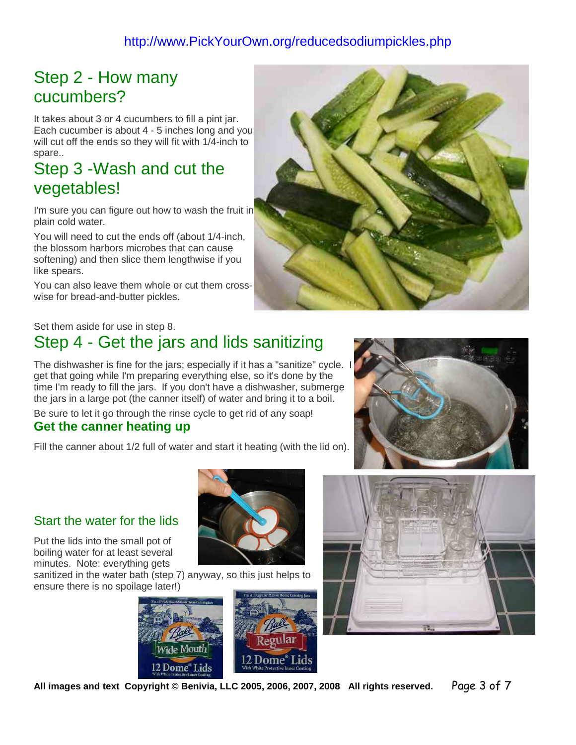#### http://www.PickYourOwn.org/reducedsodiumpickles.php

#### Step 2 - How many cucumbers?

It takes about 3 or 4 cucumbers to fill a pint jar. Each cucumber is about 4 - 5 inches long and you will cut off the ends so they will fit with 1/4-inch to spare..

#### Step 3 -Wash and cut the vegetables!

I'm sure you can figure out how to wash the fruit in plain cold water.

You will need to cut the ends off (about 1/4-inch, the blossom harbors microbes that can cause softening) and then slice them lengthwise if you like spears.

You can also leave them whole or cut them crosswise for bread-and-butter pickles.



#### Set them aside for use in step 8.

#### Step 4 - Get the jars and lids sanitizing

The dishwasher is fine for the jars; especially if it has a "sanitize" cycle. get that going while I'm preparing everything else, so it's done by the time I'm ready to fill the jars. If you don't have a dishwasher, submerge the jars in a large pot (the canner itself) of water and bring it to a boil.

Be sure to let it go through the rinse cycle to get rid of any soap!

#### **Get the canner heating up**

Fill the canner about 1/2 full of water and start it heating (with the lid on).



Put the lids into the small pot of boiling water for at least several minutes. Note: everything gets

sanitized in the water bath (step 7) anyway, so this just helps to ensure there is no spoilage later!)







**All images and text Copyright © Benivia, LLC 2005, 2006, 2007, 2008 All rights reserved.** Page 3 of 7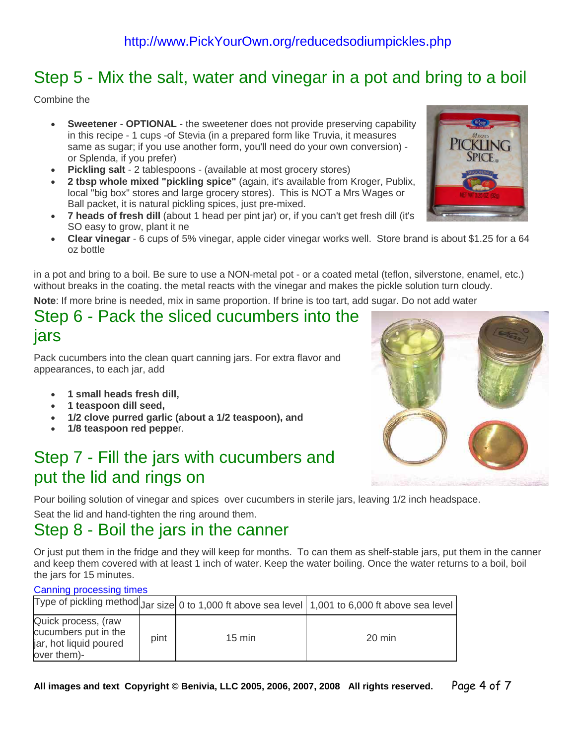#### Step 5 - Mix the salt, water and vinegar in a pot and bring to a boil

Combine the

- **Sweetener OPTIONAL** the sweetener does not provide preserving capability in this recipe - 1 cups -of Stevia (in a prepared form like Truvia, it measures same as sugar; if you use another form, you'll need do your own conversion) or Splenda, if you prefer)
- **Pickling salt** 2 tablespoons (available at most grocery stores)
- **2 tbsp whole mixed "pickling spice"** (again, it's available from Kroger, Publix, local "big box" stores and large grocery stores). This is NOT a Mrs Wages or Ball packet, it is natural pickling spices, just pre-mixed.
- **7 heads of fresh dill** (about 1 head per pint jar) or, if you can't get fresh dill (it's SO easy to grow, plant it ne
- **Clear vinegar** 6 cups of 5% vinegar, apple cider vinegar works well. Store brand is about \$1.25 for a 64 oz bottle

in a pot and bring to a boil. Be sure to use a NON-metal pot - or a coated metal (teflon, silverstone, enamel, etc.) without breaks in the coating. the metal reacts with the vinegar and makes the pickle solution turn cloudy.

**Note**: If more brine is needed, mix in same proportion. If brine is too tart, add sugar. Do not add water

#### Step 6 - Pack the sliced cucumbers into the jars

Pack cucumbers into the clean quart canning jars. For extra flavor and appearances, to each jar, add

- **1 small heads fresh dill,**
- **1 teaspoon dill seed,**
- **1/2 clove purred garlic (about a 1/2 teaspoon), and**
- **1/8 teaspoon red peppe**r.

#### Step 7 - Fill the jars with cucumbers and put the lid and rings on

Pour boiling solution of vinegar and spices over cucumbers in sterile jars, leaving 1/2 inch headspace.

Seat the lid and hand-tighten the ring around them.

#### Step 8 - Boil the jars in the canner

Or just put them in the fridge and they will keep for months. To can them as shelf-stable jars, put them in the canner and keep them covered with at least 1 inch of water. Keep the water boiling. Once the water returns to a boil, boil the jars for 15 minutes.

#### Canning processing times

|                                                                                      |      |                  | Type of pickling method $Jar$ size 0 to 1,000 ft above sea level $\vert$ 1,001 to 6,000 ft above sea level |
|--------------------------------------------------------------------------------------|------|------------------|------------------------------------------------------------------------------------------------------------|
| Quick process, (raw<br>cucumbers put in the<br>jar, hot liquid poured<br>over them)- | pint | $15 \text{ min}$ | 20 min                                                                                                     |



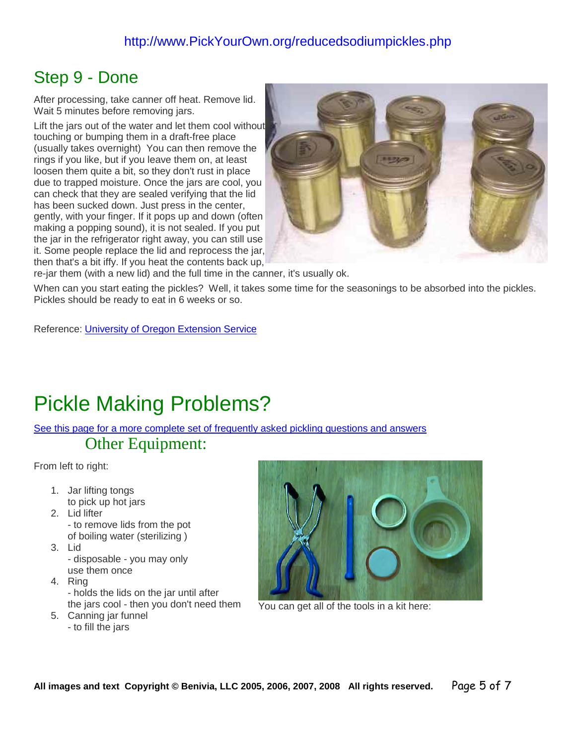#### http://www.PickYourOwn.org/reducedsodiumpickles.php

#### Step 9 - Done

After processing, take canner off heat. Remove lid. Wait 5 minutes before removing jars.

Lift the jars out of the water and let them cool without touching or bumping them in a draft-free place (usually takes overnight) You can then remove the rings if you like, but if you leave them on, at least loosen them quite a bit, so they don't rust in place due to trapped moisture. Once the jars are cool, you can check that they are sealed verifying that the lid has been sucked down. Just press in the center, gently, with your finger. If it pops up and down (often making a popping sound), it is not sealed. If you put the jar in the refrigerator right away, you can still use it. Some people replace the lid and reprocess the jar, then that's a bit iffy. If you heat the contents back up,



re-jar them (with a new lid) and the full time in the canner, it's usually ok.

When can you start eating the pickles? Well, it takes some time for the seasonings to be absorbed into the pickles. Pickles should be ready to eat in 6 weeks or so.

Reference: [University of Oregon Extension Service](http://extension.oregonstate.edu/fch/sites/default/files/documents/sp_50_533_lowsaltpickles.pdf)

## Pickle Making Problems?

[See this page for a more complete set of frequently asked pickling questions and answers](https://pickyourown.org/picklesFAQs.htm)

#### Other Equipment:

From left to right:

- 1. Jar lifting tongs to pick up hot jars
- 2. Lid lifter - to remove lids from the pot of boiling water (sterilizing )
- 3. Lid - disposable - you may only
- use them once 4. Ring - holds the lids on the jar until after

the jars cool - then you don't need them

- 5. Canning jar funnel
	- to fill the jars



You can get all of the tools in a kit here: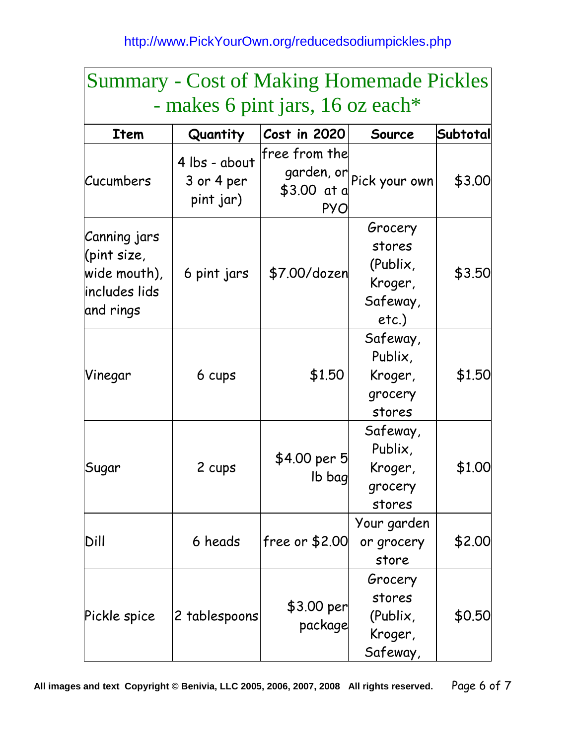| <b>Summary - Cost of Making Homemade Pickles</b>                          |                                          |                                            |                                                                  |          |  |  |  |
|---------------------------------------------------------------------------|------------------------------------------|--------------------------------------------|------------------------------------------------------------------|----------|--|--|--|
| - makes 6 pint jars, 16 oz each*                                          |                                          |                                            |                                                                  |          |  |  |  |
| <b>Item</b>                                                               | Quantity                                 | Cost in 2020                               | Source                                                           | Subtotal |  |  |  |
| Cucumbers                                                                 | 4 lbs - about<br>3 or 4 per<br>pint jar) | free from the<br>\$3.00 at a<br><b>PYO</b> | garden, or Pick your own                                         | \$3.00   |  |  |  |
| Canning jars<br>(pint size,<br>wide mouth),<br>includes lids<br>and rings | 6 pint jars                              | \$7.00/dozen                               | Grocery<br>stores<br>(Publix,<br>Kroger,<br>Safeway,<br>$etc.$ ) | \$3.50   |  |  |  |
| Vinegar                                                                   | 6 cups                                   | \$1.50                                     | Safeway,<br>Publix,<br>Kroger,<br>grocery<br>stores              | \$1.50   |  |  |  |
| Sugar                                                                     | 2 cups                                   | \$4.00 per 5<br>lb bag                     | Safeway,<br>Publix,<br>Kroger,<br>grocery<br>stores              | \$1.00   |  |  |  |
| Dill                                                                      | 6 heads                                  | free or $$2.00$                            | Your garden<br>or grocery<br>store                               | \$2.00   |  |  |  |
| Pickle spice                                                              | 2 tablespoons                            | \$3.00 per<br>package                      | Grocery<br>stores<br>(Publix,<br>Kroger,<br>Safeway,             | \$0.50   |  |  |  |